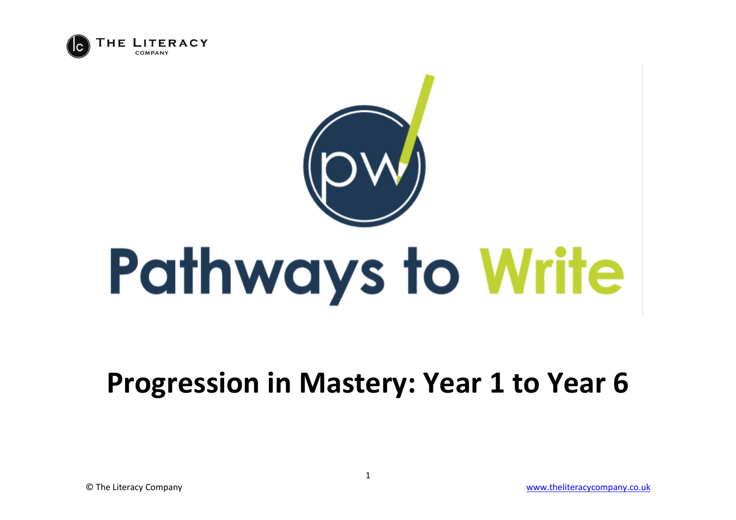



## **Progression in Mastery: Year 1 to Year 6**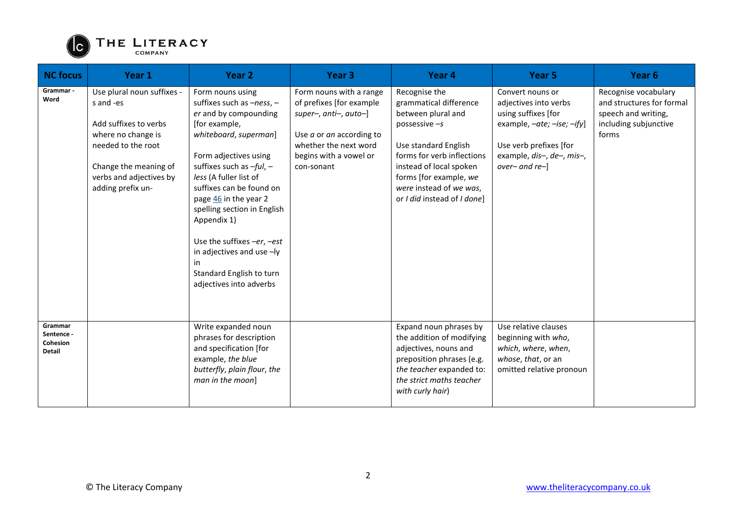

| <b>NC focus</b>                                    | Year 1                                                                                                                                                                                | Year <sub>2</sub>                                                                                                                                                                                                                                                                                                                                                                                                                | Year <sub>3</sub>                                                                                                                                                             | Year 4                                                                                                                                                                                                                                                | Year <sub>5</sub>                                                                                                                                                       | Year <sub>6</sub>                                                                                          |
|----------------------------------------------------|---------------------------------------------------------------------------------------------------------------------------------------------------------------------------------------|----------------------------------------------------------------------------------------------------------------------------------------------------------------------------------------------------------------------------------------------------------------------------------------------------------------------------------------------------------------------------------------------------------------------------------|-------------------------------------------------------------------------------------------------------------------------------------------------------------------------------|-------------------------------------------------------------------------------------------------------------------------------------------------------------------------------------------------------------------------------------------------------|-------------------------------------------------------------------------------------------------------------------------------------------------------------------------|------------------------------------------------------------------------------------------------------------|
| Grammar -<br>Word                                  | Use plural noun suffixes -<br>s and -es<br>Add suffixes to verbs<br>where no change is<br>needed to the root<br>Change the meaning of<br>verbs and adjectives by<br>adding prefix un- | Form nouns using<br>suffixes such as $-ness$ , -<br>er and by compounding<br>[for example,<br>whiteboard, superman]<br>Form adjectives using<br>suffixes such as $-ful$ , -<br>less (A fuller list of<br>suffixes can be found on<br>page 46 in the year 2<br>spelling section in English<br>Appendix 1)<br>Use the suffixes -er, -est<br>in adjectives and use -ly<br>in<br>Standard English to turn<br>adjectives into adverbs | Form nouns with a range<br>of prefixes [for example<br>super-, anti-, auto-]<br>Use $a$ or $an$ according to<br>whether the next word<br>begins with a vowel or<br>con-sonant | Recognise the<br>grammatical difference<br>between plural and<br>possessive $-s$<br>Use standard English<br>forms for verb inflections<br>instead of local spoken<br>forms [for example, we<br>were instead of we was,<br>or I did instead of I done] | Convert nouns or<br>adjectives into verbs<br>using suffixes [for<br>example, -ate; -ise; -ify]<br>Use verb prefixes [for<br>example, dis-, de-, mis-,<br>over- and re-] | Recognise vocabulary<br>and structures for formal<br>speech and writing,<br>including subjunctive<br>forms |
| Grammar<br>Sentence -<br>Cohesion<br><b>Detail</b> |                                                                                                                                                                                       | Write expanded noun<br>phrases for description<br>and specification [for<br>example, the blue<br>butterfly, plain flour, the<br>man in the moon]                                                                                                                                                                                                                                                                                 |                                                                                                                                                                               | Expand noun phrases by<br>the addition of modifying<br>adjectives, nouns and<br>preposition phrases (e.g.<br>the teacher expanded to:<br>the strict maths teacher<br>with curly hair)                                                                 | Use relative clauses<br>beginning with who,<br>which, where, when,<br>whose, that, or an<br>omitted relative pronoun                                                    |                                                                                                            |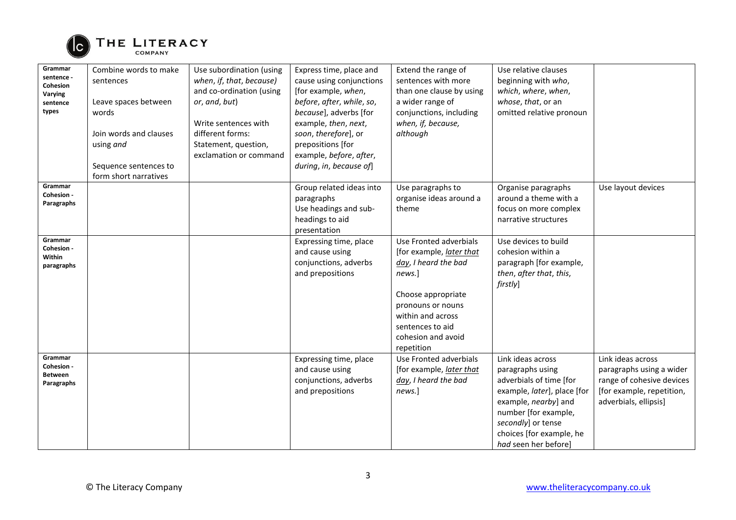

| Grammar<br>sentence -<br><b>Cohesion</b><br>Varying<br>sentence<br>types | Combine words to make<br>sentences<br>Leave spaces between<br>words<br>Join words and clauses<br>using and<br>Sequence sentences to<br>form short narratives | Use subordination (using<br>when, if, that, because)<br>and co-ordination (using<br>or, and, but)<br>Write sentences with<br>different forms:<br>Statement, question,<br>exclamation or command | Express time, place and<br>cause using conjunctions<br>[for example, when,<br>before, after, while, so,<br>because], adverbs [for<br>example, then, next,<br>soon, therefore], or<br>prepositions [for<br>example, before, after,<br>during, in, because of] | Extend the range of<br>sentences with more<br>than one clause by using<br>a wider range of<br>conjunctions, including<br>when, if, because,<br>although                                                             | Use relative clauses<br>beginning with who,<br>which, where, when,<br>whose, that, or an<br>omitted relative pronoun                                                                                                      |                                                                                                                                  |
|--------------------------------------------------------------------------|--------------------------------------------------------------------------------------------------------------------------------------------------------------|-------------------------------------------------------------------------------------------------------------------------------------------------------------------------------------------------|--------------------------------------------------------------------------------------------------------------------------------------------------------------------------------------------------------------------------------------------------------------|---------------------------------------------------------------------------------------------------------------------------------------------------------------------------------------------------------------------|---------------------------------------------------------------------------------------------------------------------------------------------------------------------------------------------------------------------------|----------------------------------------------------------------------------------------------------------------------------------|
| Grammar<br>Cohesion -<br>Paragraphs                                      |                                                                                                                                                              |                                                                                                                                                                                                 | Group related ideas into<br>paragraphs<br>Use headings and sub-<br>headings to aid<br>presentation                                                                                                                                                           | Use paragraphs to<br>organise ideas around a<br>theme                                                                                                                                                               | Organise paragraphs<br>around a theme with a<br>focus on more complex<br>narrative structures                                                                                                                             | Use layout devices                                                                                                               |
| Grammar<br>Cohesion -<br>Within<br>paragraphs                            |                                                                                                                                                              |                                                                                                                                                                                                 | Expressing time, place<br>and cause using<br>conjunctions, adverbs<br>and prepositions                                                                                                                                                                       | Use Fronted adverbials<br>[for example, <i>later that</i><br>day, I heard the bad<br>news.]<br>Choose appropriate<br>pronouns or nouns<br>within and across<br>sentences to aid<br>cohesion and avoid<br>repetition | Use devices to build<br>cohesion within a<br>paragraph [for example,<br>then, after that, this,<br>firstly]                                                                                                               |                                                                                                                                  |
| Grammar<br>Cohesion -<br><b>Between</b><br>Paragraphs                    |                                                                                                                                                              |                                                                                                                                                                                                 | Expressing time, place<br>and cause using<br>conjunctions, adverbs<br>and prepositions                                                                                                                                                                       | Use Fronted adverbials<br>[for example, <i>later that</i><br>day, I heard the bad<br>news.]                                                                                                                         | Link ideas across<br>paragraphs using<br>adverbials of time [for<br>example, later], place [for<br>example, nearby] and<br>number [for example,<br>secondly] or tense<br>choices [for example, he<br>had seen her before] | Link ideas across<br>paragraphs using a wider<br>range of cohesive devices<br>[for example, repetition,<br>adverbials, ellipsis] |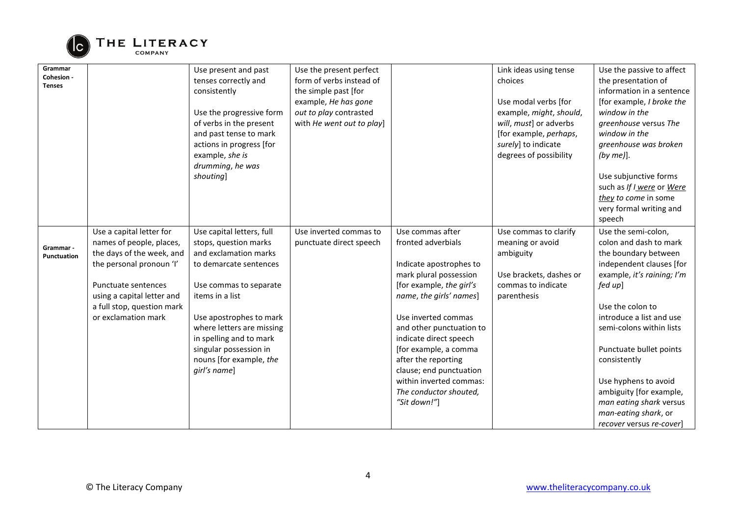

| Grammar<br>Cohesion -<br><b>Tenses</b>                                                                                                                                                                                                              | Use present and past<br>tenses correctly and<br>consistently<br>Use the progressive form<br>of verbs in the present<br>and past tense to mark<br>actions in progress [for<br>example, she is<br>drumming, he was<br>shouting]                                                                              | Use the present perfect<br>form of verbs instead of<br>the simple past [for<br>example, He has gone<br>out to play contrasted<br>with He went out to play] |                                                                                                                                                                                                                                                                                                                                                                                 | Link ideas using tense<br>choices<br>Use modal verbs [for<br>example, might, should,<br>will, must] or adverbs<br>[for example, perhaps,<br>surely] to indicate<br>degrees of possibility | Use the passive to affect<br>the presentation of<br>information in a sentence<br>[for example, I broke the<br>window in the<br>greenhouse versus The<br>window in the<br>greenhouse was broken<br>(by me)].<br>Use subjunctive forms<br>such as If I were or Were<br>they to come in some<br>very formal writing and                                                                                         |
|-----------------------------------------------------------------------------------------------------------------------------------------------------------------------------------------------------------------------------------------------------|------------------------------------------------------------------------------------------------------------------------------------------------------------------------------------------------------------------------------------------------------------------------------------------------------------|------------------------------------------------------------------------------------------------------------------------------------------------------------|---------------------------------------------------------------------------------------------------------------------------------------------------------------------------------------------------------------------------------------------------------------------------------------------------------------------------------------------------------------------------------|-------------------------------------------------------------------------------------------------------------------------------------------------------------------------------------------|--------------------------------------------------------------------------------------------------------------------------------------------------------------------------------------------------------------------------------------------------------------------------------------------------------------------------------------------------------------------------------------------------------------|
| Use a capital letter for<br>names of people, places,<br>Grammar -<br>the days of the week, and<br>Punctuation<br>the personal pronoun 'I'<br>Punctuate sentences<br>using a capital letter and<br>a full stop, question mark<br>or exclamation mark | Use capital letters, full<br>stops, question marks<br>and exclamation marks<br>to demarcate sentences<br>Use commas to separate<br>items in a list<br>Use apostrophes to mark<br>where letters are missing<br>in spelling and to mark<br>singular possession in<br>nouns [for example, the<br>girl's name] | Use inverted commas to<br>punctuate direct speech                                                                                                          | Use commas after<br>fronted adverbials<br>Indicate apostrophes to<br>mark plural possession<br>[for example, the girl's<br>name, the girls' names]<br>Use inverted commas<br>and other punctuation to<br>indicate direct speech<br>[for example, a comma<br>after the reporting<br>clause; end punctuation<br>within inverted commas:<br>The conductor shouted,<br>"Sit down!"] | Use commas to clarify<br>meaning or avoid<br>ambiguity<br>Use brackets, dashes or<br>commas to indicate<br>parenthesis                                                                    | speech<br>Use the semi-colon,<br>colon and dash to mark<br>the boundary between<br>independent clauses [for<br>example, it's raining; I'm<br>fed up]<br>Use the colon to<br>introduce a list and use<br>semi-colons within lists<br>Punctuate bullet points<br>consistently<br>Use hyphens to avoid<br>ambiguity [for example,<br>man eating shark versus<br>man-eating shark, or<br>recover versus re-cover |